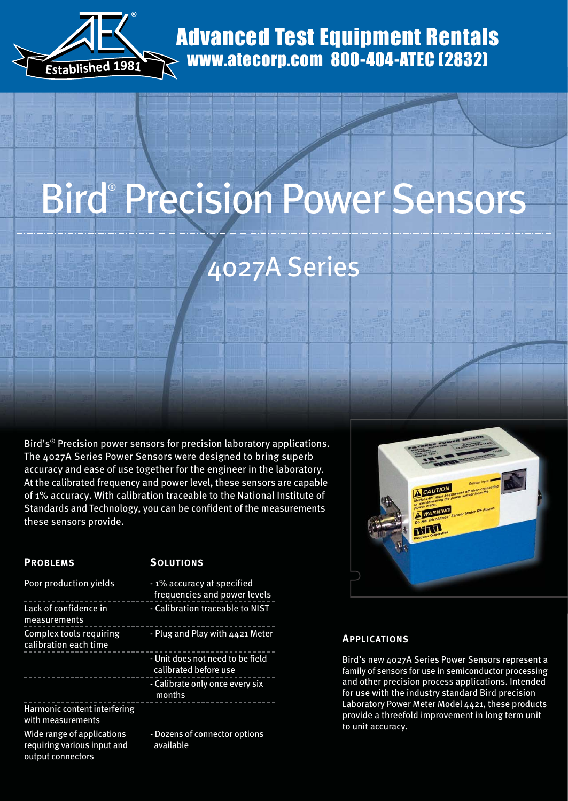

### Advanced Test Equipment Rentals www.atecorp.com 800-404-ATEC (2832)

# Bird® Precision Power Sensors 4027A Series

Bird's® Precision power sensors for precision laboratory applications. The 4027A Series Power Sensors were designed to bring superb accuracy and ease of use together for the engineer in the laboratory. At the calibrated frequency and power level, these sensors are capable of 1% accuracy. With calibration traceable to the National Institute of Standards and Technology, you can be confident of the measurements these sensors provide.

#### **PROBLEMS** SOLUTIONS

| Poor production yields                                                         | -1% accuracy at specified<br>frequencies and power levels |
|--------------------------------------------------------------------------------|-----------------------------------------------------------|
| Lack of confidence in<br>measurements                                          | - Calibration traceable to NIST                           |
| <b>Complex tools requiring</b><br>calibration each time                        | - Plug and Play with 4421 Meter                           |
|                                                                                | - Unit does not need to be field<br>calibrated before use |
|                                                                                | - Calibrate only once every six<br>months                 |
| Harmonic content interfering<br>with measurements                              |                                                           |
| Wide range of applications<br>requiring various input and<br>output connectors | - Dozens of connector options<br>available                |



#### **APPLICATIONS**

Bird's new 4027A Series Power Sensors represent a family of sensors for use in semiconductor processing and other precision process applications. Intended for use with the industry standard Bird precision Laboratory Power Meter Model 4421, these products provide a threefold improvement in long term unit to unit accuracy.